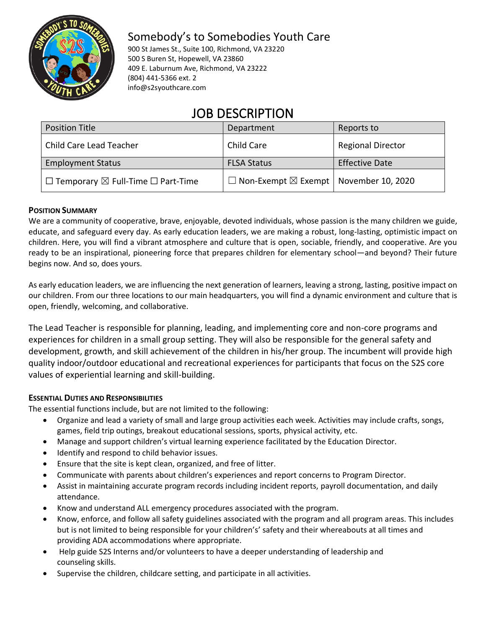

# Somebody's to Somebodies Youth Care

900 St James St., Suite 100, Richmond, VA 23220 500 S Buren St, Hopewell, VA 23860 409 E. Laburnum Ave, Richmond, VA 23222 (804) 441-5366 ext. 2 info@s2syouthcare.com

# JOB DESCRIPTION

| <b>Position Title</b>                                   | Department                                               | Reports to               |
|---------------------------------------------------------|----------------------------------------------------------|--------------------------|
| Child Care Lead Teacher                                 | Child Care                                               | <b>Regional Director</b> |
| <b>Employment Status</b>                                | <b>FLSA Status</b>                                       | <b>Effective Date</b>    |
| $\Box$ Temporary $\boxtimes$ Full-Time $\Box$ Part-Time | $\Box$ Non-Exempt $\boxtimes$ Exempt   November 10, 2020 |                          |

#### **POSITION SUMMARY**

We are a community of cooperative, brave, enjoyable, devoted individuals, whose passion is the many children we guide, educate, and safeguard every day. As early education leaders, we are making a robust, long-lasting, optimistic impact on children. Here, you will find a vibrant atmosphere and culture that is open, sociable, friendly, and cooperative. Are you ready to be an inspirational, pioneering force that prepares children for elementary school—and beyond? Their future begins now. And so, does yours.

As early education leaders, we are influencing the next generation of learners, leaving a strong, lasting, positive impact on our children. From our three locations to our main headquarters, you will find a dynamic environment and culture that is open, friendly, welcoming, and collaborative.

The Lead Teacher is responsible for planning, leading, and implementing core and non-core programs and experiences for children in a small group setting. They will also be responsible for the general safety and development, growth, and skill achievement of the children in his/her group. The incumbent will provide high quality indoor/outdoor educational and recreational experiences for participants that focus on the S2S core values of experiential learning and skill-building.

### **ESSENTIAL DUTIES AND RESPONSIBILITIES**

The essential functions include, but are not limited to the following:

- Organize and lead a variety of small and large group activities each week. Activities may include crafts, songs, games, field trip outings, breakout educational sessions, sports, physical activity, etc.
- Manage and support children's virtual learning experience facilitated by the Education Director.
- Identify and respond to child behavior issues.
- Ensure that the site is kept clean, organized, and free of litter.
- Communicate with parents about children's experiences and report concerns to Program Director.
- Assist in maintaining accurate program records including incident reports, payroll documentation, and daily attendance.
- Know and understand ALL emergency procedures associated with the program.
- Know, enforce, and follow all safety guidelines associated with the program and all program areas. This includes but is not limited to being responsible for your children's' safety and their whereabouts at all times and providing ADA accommodations where appropriate.
- Help guide S2S Interns and/or volunteers to have a deeper understanding of leadership and counseling skills.
- Supervise the children, childcare setting, and participate in all activities.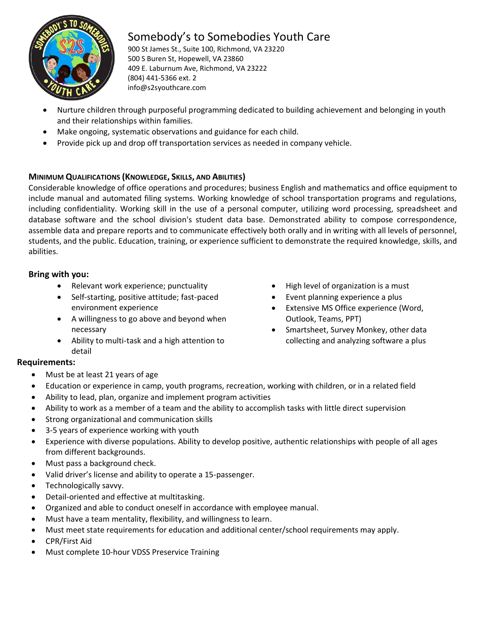

# Somebody's to Somebodies Youth Care

900 St James St., Suite 100, Richmond, VA 23220 500 S Buren St, Hopewell, VA 23860 409 E. Laburnum Ave, Richmond, VA 23222 (804) 441-5366 ext. 2 info@s2syouthcare.com

- Nurture children through purposeful programming dedicated to building achievement and belonging in youth and their relationships within families.
- Make ongoing, systematic observations and guidance for each child.
- Provide pick up and drop off transportation services as needed in company vehicle.

### **MINIMUM QUALIFICATIONS (KNOWLEDGE, SKILLS, AND ABILITIES)**

Considerable knowledge of office operations and procedures; business English and mathematics and office equipment to include manual and automated filing systems. Working knowledge of school transportation programs and regulations, including confidentiality. Working skill in the use of a personal computer, utilizing word processing, spreadsheet and database software and the school division's student data base. Demonstrated ability to compose correspondence, assemble data and prepare reports and to communicate effectively both orally and in writing with all levels of personnel, students, and the public. Education, training, or experience sufficient to demonstrate the required knowledge, skills, and abilities.

### **Bring with you:**

- Relevant work experience; punctuality
- Self-starting, positive attitude; fast-paced environment experience
- A willingness to go above and beyond when necessary
- Ability to multi-task and a high attention to detail
- High level of organization is a must
- Event planning experience a plus
- Extensive MS Office experience (Word, Outlook, Teams, PPT)
- Smartsheet, Survey Monkey, other data collecting and analyzing software a plus

### **Requirements:**

- Must be at least 21 years of age
- Education or experience in camp, youth programs, recreation, working with children, or in a related field
- Ability to lead, plan, organize and implement program activities
- Ability to work as a member of a team and the ability to accomplish tasks with little direct supervision
- Strong organizational and communication skills
- 3-5 years of experience working with youth
- Experience with diverse populations. Ability to develop positive, authentic relationships with people of all ages from different backgrounds.
- Must pass a background check.
- Valid driver's license and ability to operate a 15-passenger.
- Technologically savvy.
- Detail-oriented and effective at multitasking.
- Organized and able to conduct oneself in accordance with employee manual.
- Must have a team mentality, flexibility, and willingness to learn.
- Must meet state requirements for education and additional center/school requirements may apply.
- CPR/First Aid
- Must complete 10-hour VDSS Preservice Training